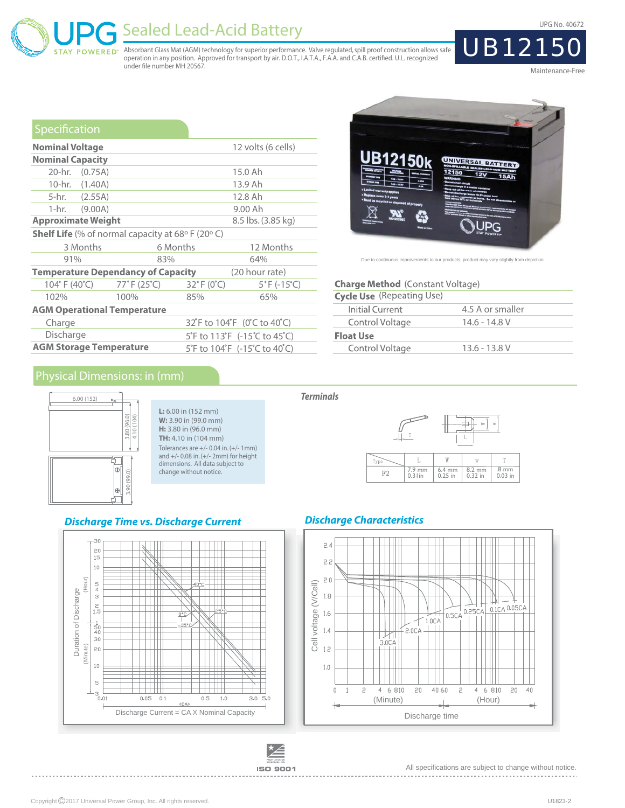UPG No. 40672

# Sealed Lead-Acid Battery

Absorbant Glass Mat (AGM) technology for superior performance. Valve regulated, spill proof construction allows safe<br>operation in any position. Approved for transport by air. D.O.T., I.A.T.A., F.A.A. and C.A.B. certified. under file number MH 20567.

Maintenance-Free

UB1215

| Specification                                                          |          |                                                       |                                        |  |  |  |
|------------------------------------------------------------------------|----------|-------------------------------------------------------|----------------------------------------|--|--|--|
| <b>Nominal Voltage</b>                                                 |          |                                                       | 12 volts (6 cells)                     |  |  |  |
| <b>Nominal Capacity</b>                                                |          |                                                       |                                        |  |  |  |
| 20-hr. (0.75A)                                                         |          |                                                       | 15.0 Ah                                |  |  |  |
| 10-hr. (1.40A)                                                         |          |                                                       | 13.9 Ah                                |  |  |  |
| 5-hr. (2.55A)                                                          |          |                                                       | 12.8 Ah                                |  |  |  |
| 1-hr. (9.00A)                                                          |          |                                                       | 9.00 Ah                                |  |  |  |
| <b>Approximate Weight</b>                                              |          | 8.5 lbs. (3.85 kg)                                    |                                        |  |  |  |
| <b>Shelf Life</b> (% of normal capacity at 68 $\circ$ F (20 $\circ$ C) |          |                                                       |                                        |  |  |  |
| 3 Months                                                               | 6 Months |                                                       | 12 Months                              |  |  |  |
| 91%                                                                    | 83%      |                                                       | 64%                                    |  |  |  |
| <b>Temperature Dependancy of Capacity</b>                              |          |                                                       | (20 hour rate)                         |  |  |  |
| 104° F (40°C) 77° F (25°C)                                             |          | $32^{\circ}$ F (0 $^{\circ}$ C)                       | $5^{\circ}$ F (-15 $^{\circ}$ C)       |  |  |  |
| 102%                                                                   | 100%     | 85%                                                   | 65%                                    |  |  |  |
| <b>AGM Operational Temperature</b>                                     |          |                                                       |                                        |  |  |  |
| Charge                                                                 |          | 32 F to 104 F (0 C to 40 C)                           |                                        |  |  |  |
| Discharge                                                              |          | 5°F to 113°F $(-15^{\circ}C \text{ to } 45^{\circ}C)$ |                                        |  |  |  |
| <b>AGM Storage Temperature</b>                                         |          |                                                       | 5°F to 104°F $(-15^{\circ}$ C to 40°C) |  |  |  |



Due to continuous improvements to our products, product may vary slightly from depiction

#### **Charge Method** (Constant Voltage)

| <b>Cycle Use</b> (Repeating Use) |                  |
|----------------------------------|------------------|
| Initial Current                  | 4.5 A or smaller |
| Control Voltage                  | 14.6 - 14.8 V    |
| <b>Float Use</b>                 |                  |
| Control Voltage                  | $13.6 - 13.8$ V  |
|                                  |                  |

### Physical Dimensions: in (mm)

**POWERED** 



**L:** 6.00 in (152 mm) **W:** 3.90 in (99.0 mm) **H:** 3.80 in (96.0 mm) **TH:** 4.10 in (104 mm) Tolerances are +/- 0.04 in. (+/- 1mm) and +/- 0.08 in. (+/- 2mm) for height dimensions. All data subject to change without notice.

#### **Discharge Time vs. Discharge Current**



# **Terminals**



### **Discharge Characteristics**